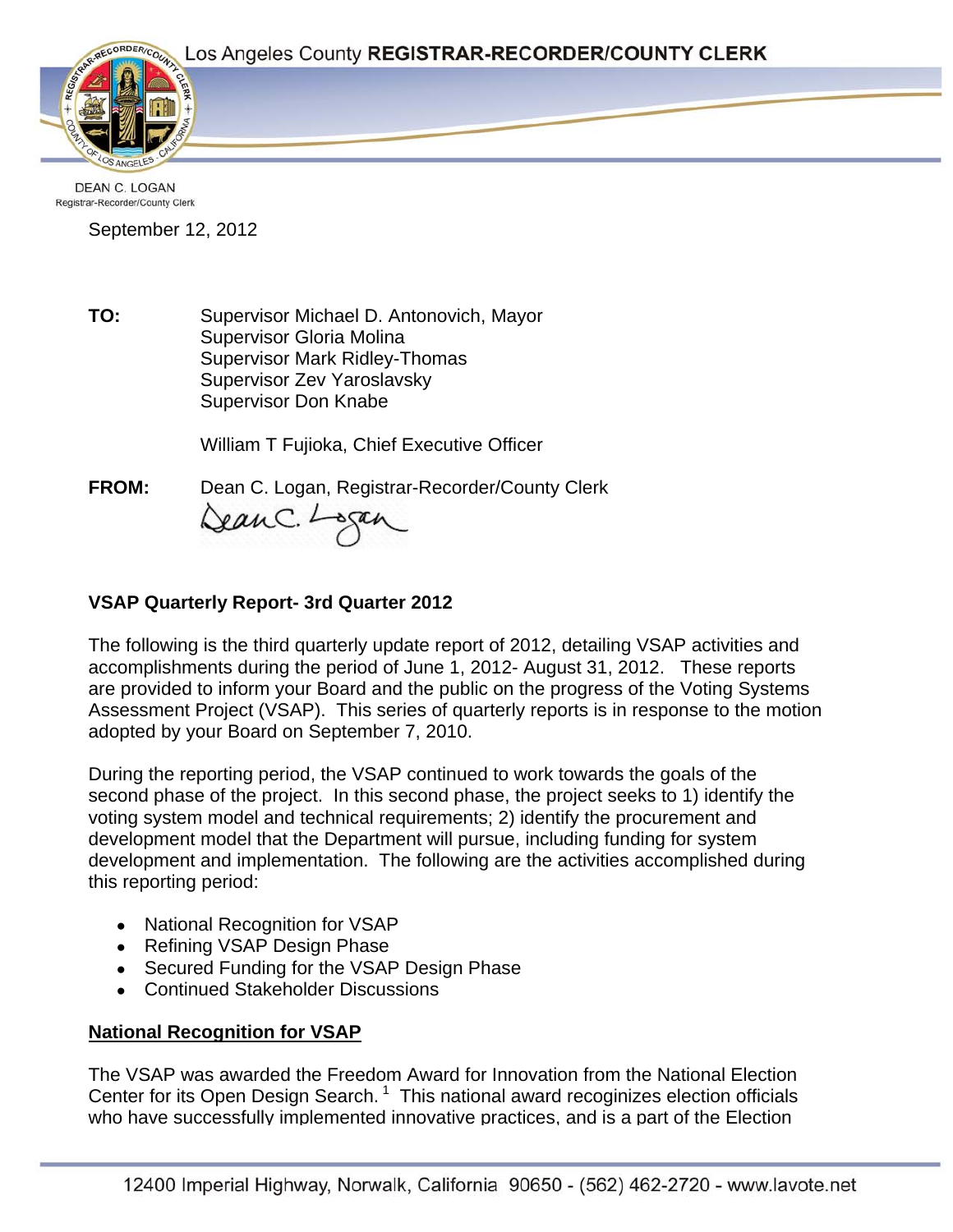Page 1



DEAN C. LOGAN Registrar-Recorder/County Clerk

September 12, 2012

**TO:** Supervisor Michael D. Antonovich, Mayor Supervisor Gloria Molina Supervisor Mark Ridley-Thomas Supervisor Zev Yaroslavsky Supervisor Don Knabe

William T Fujioka, Chief Executive Officer

**FROM:** Dean C. Logan, Registrar-Recorder/County Clerk DeanC. Logan

# **VSAP Quarterly Report- 3rd Quarter 2012**

The following is the third quarterly update report of 2012, detailing VSAP activities and accomplishments during the period of June 1, 2012- August 31, 2012. These reports are provided to inform your Board and the public on the progress of the Voting Systems Assessment Project (VSAP). This series of quarterly reports is in response to the motion adopted by your Board on September 7, 2010.

During the reporting period, the VSAP continued to work towards the goals of the second phase of the project. In this second phase, the project seeks to 1) identify the voting system model and technical requirements; 2) identify the procurement and development model that the Department will pursue, including funding for system development and implementation. The following are the activities accomplished during this reporting period:

- National Recognition for VSAP
- Refining VSAP Design Phase
- Secured Funding for the VSAP Design Phase
- Continued Stakeholder Discussions

# **National Recognition for VSAP**

The VSAP was awarded the Freedom Award for Innovation from the National Election Center for its Open Design Search.<sup>1</sup> This national award recoginizes election officials who have successfully implemented innovative practices, and is a part of the Election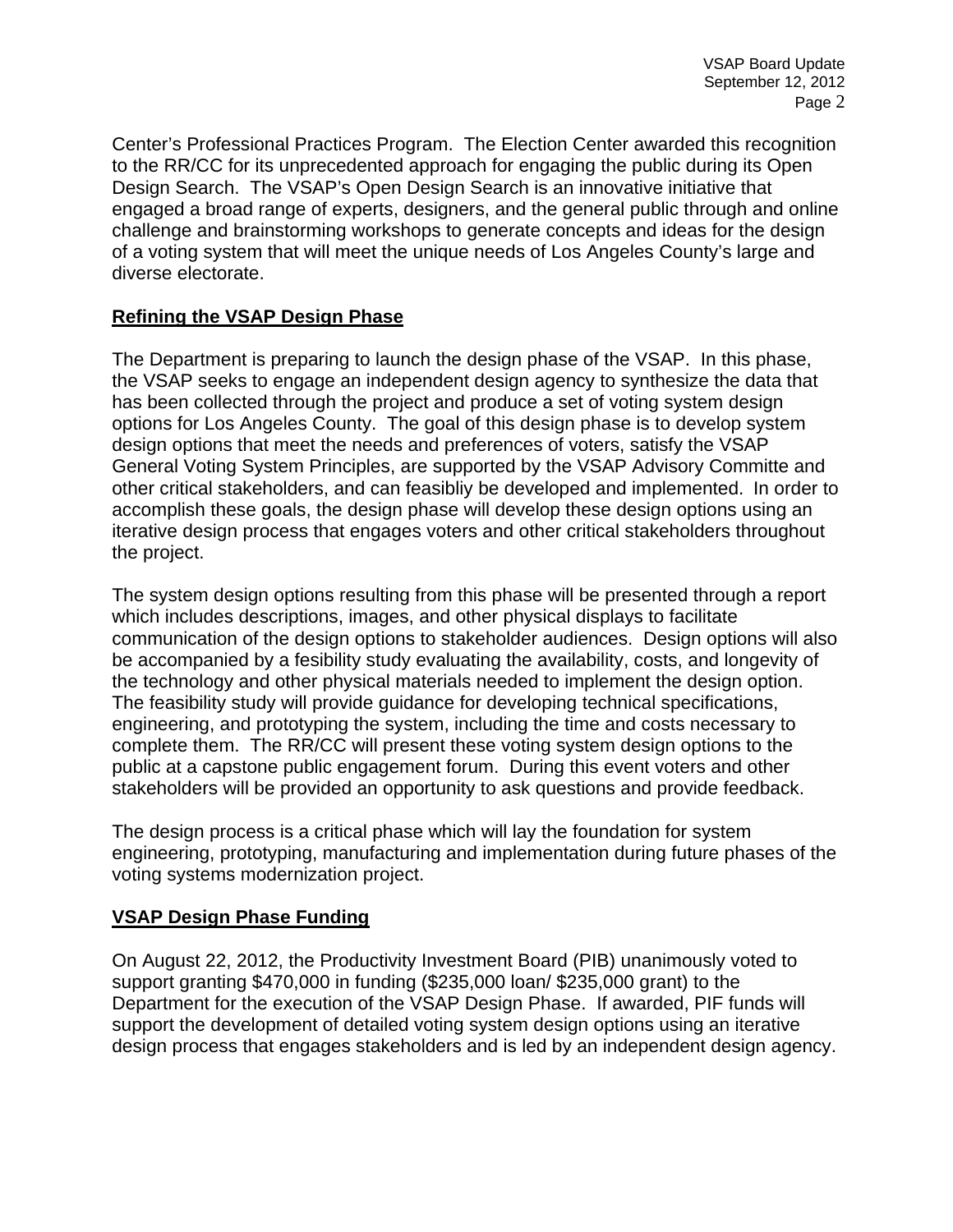Center's Professional Practices Program. The Election Center awarded this recognition to the RR/CC for its unprecedented approach for engaging the public during its Open Design Search. The VSAP's Open Design Search is an innovative initiative that engaged a broad range of experts, designers, and the general public through and online challenge and brainstorming workshops to generate concepts and ideas for the design of a voting system that will meet the unique needs of Los Angeles County's large and diverse electorate.

#### **Refining the VSAP Design Phase**

The Department is preparing to launch the design phase of the VSAP. In this phase, the VSAP seeks to engage an independent design agency to synthesize the data that has been collected through the project and produce a set of voting system design options for Los Angeles County. The goal of this design phase is to develop system design options that meet the needs and preferences of voters, satisfy the VSAP General Voting System Principles, are supported by the VSAP Advisory Committe and other critical stakeholders, and can feasibliy be developed and implemented. In order to accomplish these goals, the design phase will develop these design options using an iterative design process that engages voters and other critical stakeholders throughout the project.

The system design options resulting from this phase will be presented through a report which includes descriptions, images, and other physical displays to facilitate communication of the design options to stakeholder audiences. Design options will also be accompanied by a fesibility study evaluating the availability, costs, and longevity of the technology and other physical materials needed to implement the design option. The feasibility study will provide guidance for developing technical specifications, engineering, and prototyping the system, including the time and costs necessary to complete them. The RR/CC will present these voting system design options to the public at a capstone public engagement forum. During this event voters and other stakeholders will be provided an opportunity to ask questions and provide feedback.

The design process is a critical phase which will lay the foundation for system engineering, prototyping, manufacturing and implementation during future phases of the voting systems modernization project.

### **VSAP Design Phase Funding**

On August 22, 2012, the Productivity Investment Board (PIB) unanimously voted to support granting \$470,000 in funding (\$235,000 loan/ \$235,000 grant) to the Department for the execution of the VSAP Design Phase. If awarded, PIF funds will support the development of detailed voting system design options using an iterative design process that engages stakeholders and is led by an independent design agency.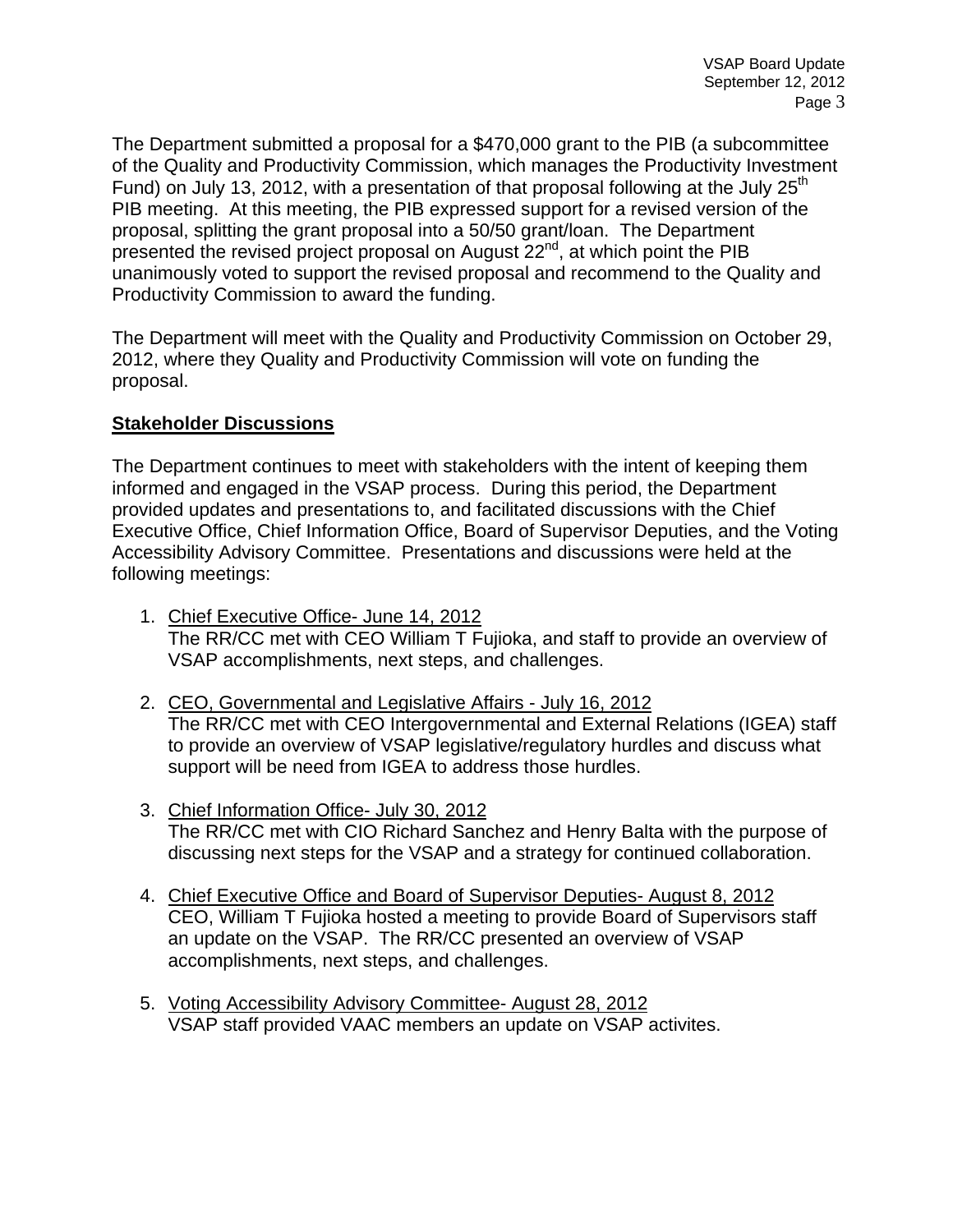The Department submitted a proposal for a \$470,000 grant to the PIB (a subcommittee of the Quality and Productivity Commission, which manages the Productivity Investment Fund) on July 13, 2012, with a presentation of that proposal following at the July  $25<sup>th</sup>$ PIB meeting. At this meeting, the PIB expressed support for a revised version of the proposal, splitting the grant proposal into a 50/50 grant/loan. The Department presented the revised project proposal on August 22<sup>nd</sup>, at which point the PIB unanimously voted to support the revised proposal and recommend to the Quality and Productivity Commission to award the funding.

The Department will meet with the Quality and Productivity Commission on October 29, 2012, where they Quality and Productivity Commission will vote on funding the proposal.

#### **Stakeholder Discussions**

The Department continues to meet with stakeholders with the intent of keeping them informed and engaged in the VSAP process. During this period, the Department provided updates and presentations to, and facilitated discussions with the Chief Executive Office, Chief Information Office, Board of Supervisor Deputies, and the Voting Accessibility Advisory Committee. Presentations and discussions were held at the following meetings:

- 1. Chief Executive Office- June 14, 2012 The RR/CC met with CEO William T Fujioka, and staff to provide an overview of VSAP accomplishments, next steps, and challenges.
- 2. CEO, Governmental and Legislative Affairs July 16, 2012 The RR/CC met with CEO Intergovernmental and External Relations (IGEA) staff to provide an overview of VSAP legislative/regulatory hurdles and discuss what support will be need from IGEA to address those hurdles.
- 3. Chief Information Office- July 30, 2012 The RR/CC met with CIO Richard Sanchez and Henry Balta with the purpose of discussing next steps for the VSAP and a strategy for continued collaboration.
- 4. Chief Executive Office and Board of Supervisor Deputies- August 8, 2012 CEO, William T Fujioka hosted a meeting to provide Board of Supervisors staff an update on the VSAP. The RR/CC presented an overview of VSAP accomplishments, next steps, and challenges.
- 5. Voting Accessibility Advisory Committee- August 28, 2012 VSAP staff provided VAAC members an update on VSAP activites.